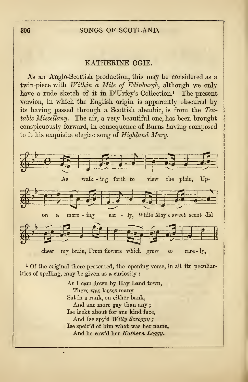## <sup>306</sup> SONGS OF SCOTLAND.

## KATHEKLNE OGIE.

As an Anglo-Scottish production, this may be considered as a twin-piece with Within a Mile of Edinburgh, although we only have a rude sketch of it in D'Urfey's Collection.<sup>1</sup> The present version, in which the English origin is apparently obscured by its having passed through a Scottish alembic, is from the Teatable Miscellany. The air, a very beautiful one, has been brought conspicuously forward, in consequence of Burns having composed to it his exquisite elegiac song of Highland Mary.



<sup>1</sup> Of the original there presented, the opening verse, in all its peculiarities of spelling, may be given as a curiosity :

> As I cam down by Hay Land town, There was lasses many Sat in a rank, on either bank, And ane more gay than any ; Ise leekt about for ane kind face, And Ise spy'd Willy Scroggy; Ise speir'd of him what was her name, And he caw'd her Kathern Loggy.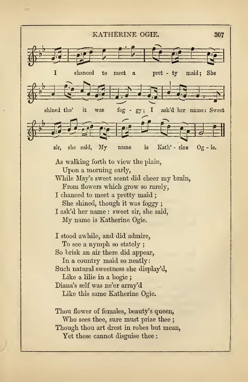